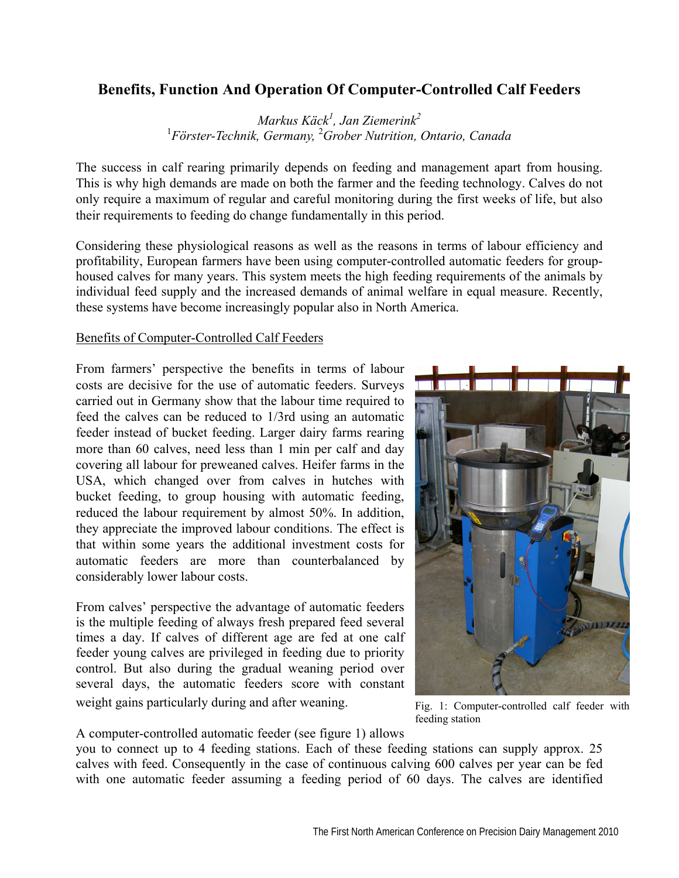## **Benefits, Function And Operation Of Computer-Controlled Calf Feeders**

*Markus Käck<sup>1</sup> , Jan Ziemerink<sup>2</sup>* <sup>1</sup> Förster-Technik, Germany, <sup>2</sup> Grober Nutrition, Ontario, Canada

The success in calf rearing primarily depends on feeding and management apart from housing. This is why high demands are made on both the farmer and the feeding technology. Calves do not only require a maximum of regular and careful monitoring during the first weeks of life, but also their requirements to feeding do change fundamentally in this period.

Considering these physiological reasons as well as the reasons in terms of labour efficiency and profitability, European farmers have been using computer-controlled automatic feeders for grouphoused calves for many years. This system meets the high feeding requirements of the animals by individual feed supply and the increased demands of animal welfare in equal measure. Recently, these systems have become increasingly popular also in North America.

## Benefits of Computer-Controlled Calf Feeders

From farmers' perspective the benefits in terms of labour costs are decisive for the use of automatic feeders. Surveys carried out in Germany show that the labour time required to feed the calves can be reduced to 1/3rd using an automatic feeder instead of bucket feeding. Larger dairy farms rearing more than 60 calves, need less than 1 min per calf and day covering all labour for preweaned calves. Heifer farms in the USA, which changed over from calves in hutches with bucket feeding, to group housing with automatic feeding, reduced the labour requirement by almost 50%. In addition, they appreciate the improved labour conditions. The effect is that within some years the additional investment costs for automatic feeders are more than counterbalanced by considerably lower labour costs.

From calves' perspective the advantage of automatic feeders is the multiple feeding of always fresh prepared feed several times a day. If calves of different age are fed at one calf feeder young calves are privileged in feeding due to priority control. But also during the gradual weaning period over several days, the automatic feeders score with constant weight gains particularly during and after weaning.



Fig. 1: Computer-controlled calf feeder with feeding station

A computer-controlled automatic feeder (see figure 1) allows

you to connect up to 4 feeding stations. Each of these feeding stations can supply approx. 25 calves with feed. Consequently in the case of continuous calving 600 calves per year can be fed with one automatic feeder assuming a feeding period of 60 days. The calves are identified